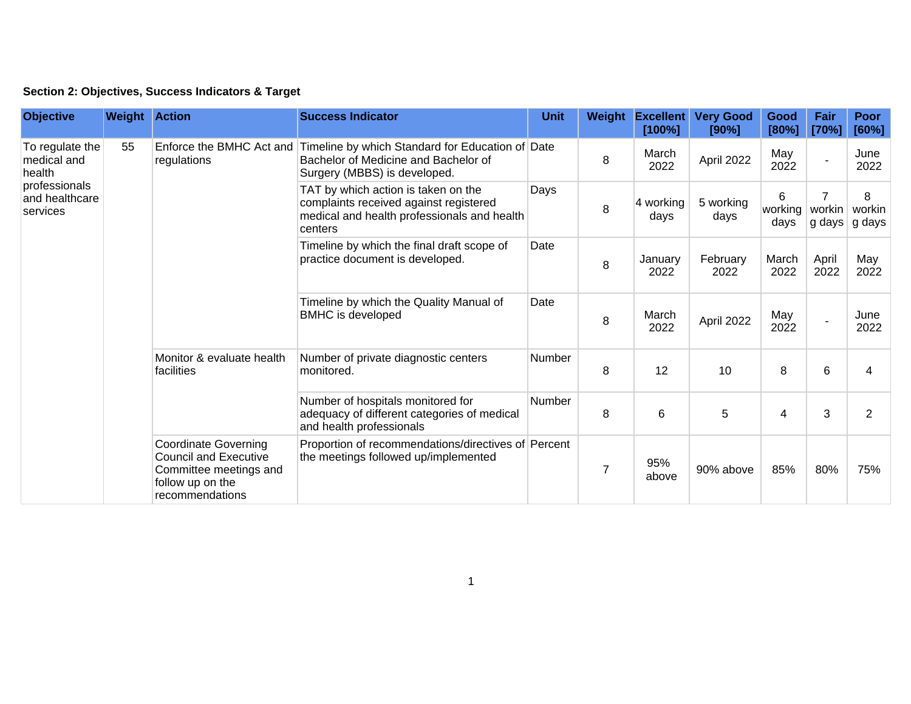## **Section 2: Objectives, Success Indicators & Target**

| <b>Objective</b>                                                                        | <b>Weight Action</b> |                                                                                                                              | <b>Success Indicator</b>                                                                                                                          | <b>Unit</b> | Weight         | <b>Excellent</b><br>[100%] | <b>Very Good</b><br>[90%] | Good<br>[80%]                          | Fair<br>[70%]  | <b>Poor</b><br>[60%] |
|-----------------------------------------------------------------------------------------|----------------------|------------------------------------------------------------------------------------------------------------------------------|---------------------------------------------------------------------------------------------------------------------------------------------------|-------------|----------------|----------------------------|---------------------------|----------------------------------------|----------------|----------------------|
| To regulate the<br>medical and<br>health<br>professionals<br>and healthcare<br>services | 55                   | regulations                                                                                                                  | Enforce the BMHC Act and Timeline by which Standard for Education of Date<br>Bachelor of Medicine and Bachelor of<br>Surgery (MBBS) is developed. |             | 8              | March<br>2022              | April 2022                | May<br>2022                            | $\sim$         | June<br>2022         |
|                                                                                         |                      |                                                                                                                              | TAT by which action is taken on the<br>complaints received against registered<br>medical and health professionals and health<br>centers           | Days        | 8              | 4 working<br>days          | 5 working<br>days         | 6<br>working   workin   workin<br>days | $\overline{7}$ | 8<br>g days g days   |
|                                                                                         |                      |                                                                                                                              | Timeline by which the final draft scope of<br>practice document is developed.                                                                     | Date        | 8              | January<br>2022            | February<br>2022          | March<br>2022                          | April<br>2022  | May<br>2022          |
|                                                                                         |                      |                                                                                                                              | Timeline by which the Quality Manual of<br><b>BMHC</b> is developed                                                                               | Date        | 8              | March<br>2022              | April 2022                | May<br>2022                            | $\blacksquare$ | June<br>2022         |
|                                                                                         |                      | Monitor & evaluate health<br>facilities                                                                                      | Number of private diagnostic centers<br>monitored.                                                                                                | Number      | 8              | 12                         | 10                        | 8                                      | 6              | 4                    |
|                                                                                         |                      |                                                                                                                              | Number of hospitals monitored for<br>adequacy of different categories of medical<br>and health professionals                                      | Number      | 8              | 6                          | 5                         | 4                                      | 3              | 2                    |
|                                                                                         |                      | <b>Coordinate Governing</b><br><b>Council and Executive</b><br>Committee meetings and<br>follow up on the<br>recommendations | Proportion of recommendations/directives of Percent<br>the meetings followed up/implemented                                                       |             | $\overline{7}$ | 95%<br>above               | 90% above                 | 85%                                    | 80%            | 75%                  |